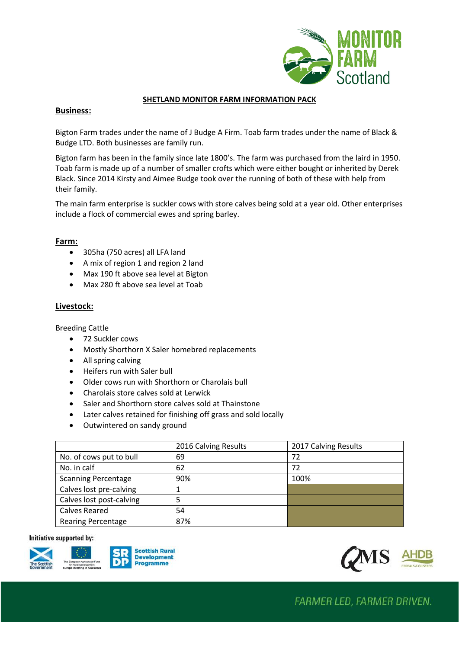

### **SHETLAND MONITOR FARM INFORMATION PACK**

## **Business:**

Bigton Farm trades under the name of J Budge A Firm. Toab farm trades under the name of Black & Budge LTD. Both businesses are family run.

Bigton farm has been in the family since late 1800's. The farm was purchased from the laird in 1950. Toab farm is made up of a number of smaller crofts which were either bought or inherited by Derek Black. Since 2014 Kirsty and Aimee Budge took over the running of both of these with help from their family.

The main farm enterprise is suckler cows with store calves being sold at a year old. Other enterprises include a flock of commercial ewes and spring barley.

## **Farm:**

- 305ha (750 acres) all LFA land
- A mix of region 1 and region 2 land
- Max 190 ft above sea level at Bigton
- Max 280 ft above sea level at Toab

## **Livestock:**

Breeding Cattle

- 72 Suckler cows
- Mostly Shorthorn X Saler homebred replacements
- All spring calving
- Heifers run with Saler bull
- Older cows run with Shorthorn or Charolais bull
- Charolais store calves sold at Lerwick
- Saler and Shorthorn store calves sold at Thainstone
- Later calves retained for finishing off grass and sold locally
- Outwintered on sandy ground

|                            | 2016 Calving Results | 2017 Calving Results |
|----------------------------|----------------------|----------------------|
| No. of cows put to bull    | 69                   | 72                   |
| No. in calf                | 62                   | 72                   |
| <b>Scanning Percentage</b> | 90%                  | 100%                 |
| Calves lost pre-calving    |                      |                      |
| Calves lost post-calving   | 5                    |                      |
| <b>Calves Reared</b>       | 54                   |                      |
| <b>Rearing Percentage</b>  | 87%                  |                      |

#### Initiative supported by: